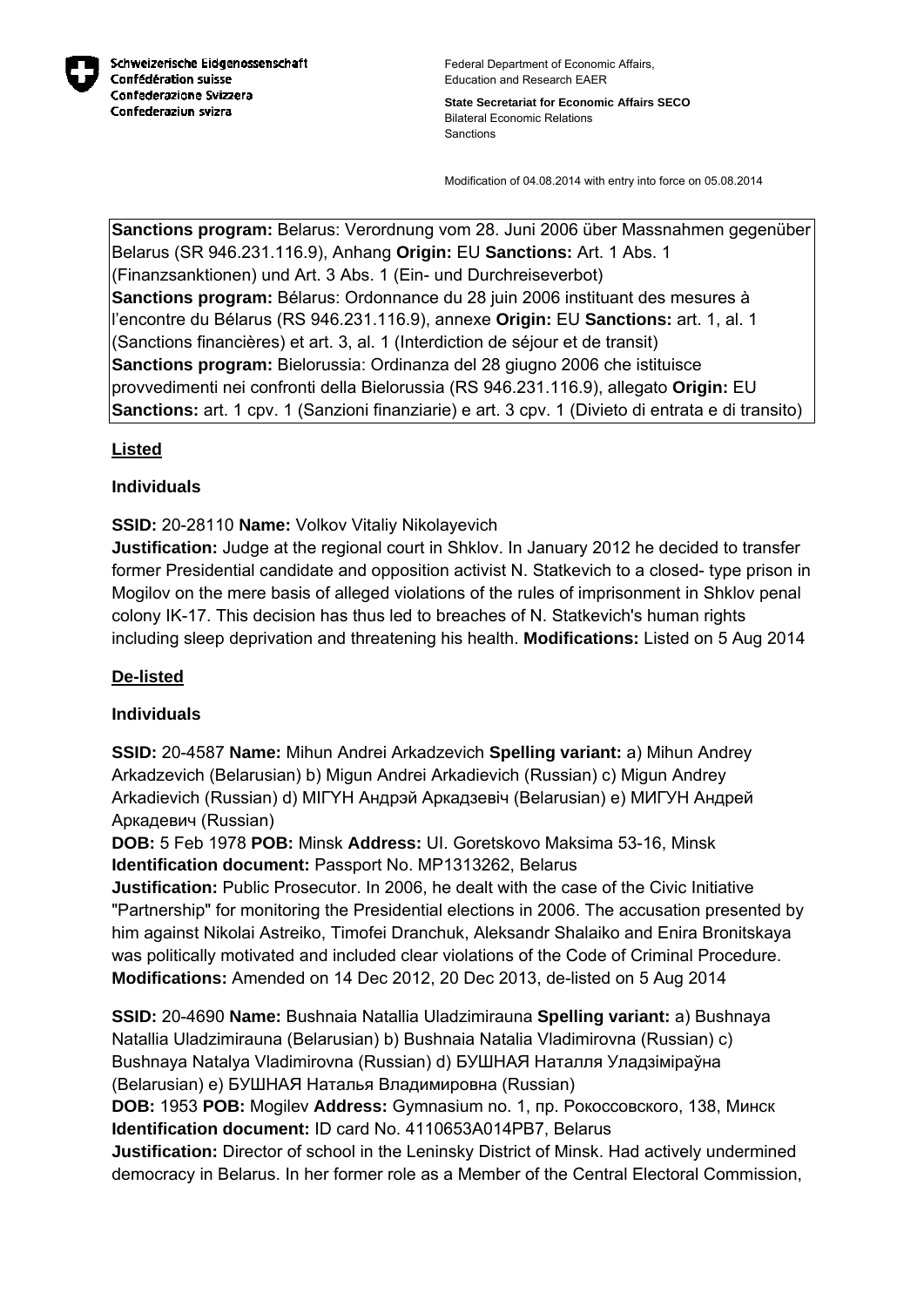

Federal Department of Economic Affairs, Education and Research EAER

**State Secretariat for Economic Affairs SECO** Bilateral Economic Relations Sanctions

Modification of 04.08.2014 with entry into force on 05.08.2014

**Sanctions program:** Belarus: Verordnung vom 28. Juni 2006 über Massnahmen gegenüber Belarus (SR 946.231.116.9), Anhang **Origin:** EU **Sanctions:** Art. 1 Abs. 1 (Finanzsanktionen) und Art. 3 Abs. 1 (Ein- und Durchreiseverbot) **Sanctions program:** Bélarus: Ordonnance du 28 juin 2006 instituant des mesures à l'encontre du Bélarus (RS 946.231.116.9), annexe **Origin:** EU **Sanctions:** art. 1, al. 1 (Sanctions financières) et art. 3, al. 1 (Interdiction de séjour et de transit) **Sanctions program:** Bielorussia: Ordinanza del 28 giugno 2006 che istituisce provvedimenti nei confronti della Bielorussia (RS 946.231.116.9), allegato **Origin:** EU **Sanctions:** art. 1 cpv. 1 (Sanzioni finanziarie) e art. 3 cpv. 1 (Divieto di entrata e di transito)

## **Listed**

## **Individuals**

**SSID:** 20-28110 **Name:** Volkov Vitaliy Nikolayevich

**Justification:** Judge at the regional court in Shklov. In January 2012 he decided to transfer former Presidential candidate and opposition activist N. Statkevich to a closed- type prison in Mogilov on the mere basis of alleged violations of the rules of imprisonment in Shklov penal colony IK-17. This decision has thus led to breaches of N. Statkevich's human rights including sleep deprivation and threatening his health. **Modifications:** Listed on 5 Aug 2014

## **De-listed**

## **Individuals**

**SSID:** 20-4587 **Name:** Mihun Andrei Arkadzevich **Spelling variant:** a) Mihun Andrey Arkadzevich (Belarusian) b) Migun Andrei Arkadievich (Russian) c) Migun Andrey Arkadievich (Russian) d) MIГYH Андрэй Аркадзевіч (Belarusian) e) МИГУН Андрей Аркадевич (Russian)

**DOB:** 5 Feb 1978 **POB:** Minsk **Address:** UI. Goretskovo Maksima 53-16, Minsk **Identification document:** Passport No. MP1313262, Belarus

**Justification:** Public Prosecutor. In 2006, he dealt with the case of the Civic Initiative "Partnership" for monitoring the Presidential elections in 2006. The accusation presented by him against Nikolai Astreiko, Timofei Dranchuk, Aleksandr Shalaiko and Enira Bronitskaya was politically motivated and included clear violations of the Code of Criminal Procedure. **Modifications:** Amended on 14 Dec 2012, 20 Dec 2013, de-listed on 5 Aug 2014

**SSID:** 20-4690 **Name:** Bushnaia Natallia Uladzimirauna **Spelling variant:** a) Bushnaya Natallia Uladzimirauna (Belarusian) b) Bushnaia Natalia Vladimirovna (Russian) c) Bushnaya Natalya Vladimirovna (Russian) d) БУШНАЯ Наталля Уладзіміраўна (Belarusian) e) БУШНАЯ Наталья Владимировна (Russian)

**DOB:** 1953 **POB:** Mogilev **Address:** Gymnasium no. 1, пр. Рокоссовского, 138, Минск **Identification document:** ID card No. 4110653A014PB7, Belarus

**Justification:** Director of school in the Leninsky District of Minsk. Had actively undermined democracy in Belarus. In her former role as a Member of the Central Electoral Commission,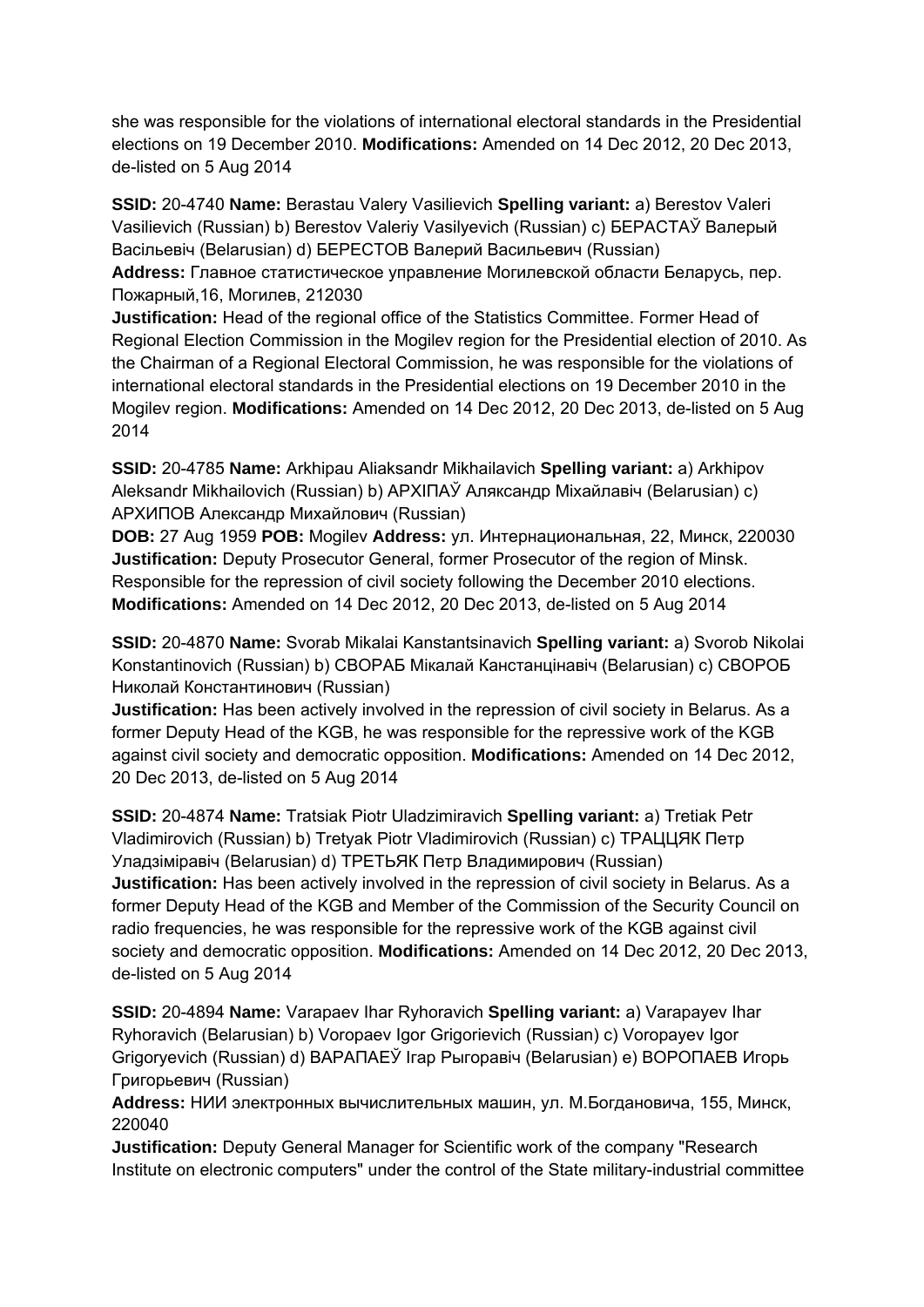she was responsible for the violations of international electoral standards in the Presidential elections on 19 December 2010. **Modifications:** Amended on 14 Dec 2012, 20 Dec 2013, de-listed on 5 Aug 2014

**SSID:** 20-4740 **Name:** Berastau Valery Vasilievich **Spelling variant:** a) Berestov Valeri Vasilievich (Russian) b) Berestov Valeriy Vasilyevich (Russian) c) БЕРАСТАЎ Валерый Васільевіч (Belarusian) d) БЕРЕСТОВ Валерий Васильевич (Russian)

**Address:** Главное статистическое управление Могилевской области Беларусь, пер. Пожарный,16, Могилев, 212030

**Justification:** Head of the regional office of the Statistics Committee. Former Head of Regional Election Commission in the Mogilev region for the Presidential election of 2010. As the Chairman of a Regional Electoral Commission, he was responsible for the violations of international electoral standards in the Presidential elections on 19 December 2010 in the Mogilev region. **Modifications:** Amended on 14 Dec 2012, 20 Dec 2013, de-listed on 5 Aug 2014

**SSID:** 20-4785 **Name:** Arkhipau Aliaksandr Mikhailavich **Spelling variant:** a) Arkhipov Aleksandr Mikhailovich (Russian) b) APXIПAЎ Аляксандр Міхайлавіч (Belarusian) c) АРХИПОВ Александр Михайлович (Russian)

**DOB:** 27 Aug 1959 **POB:** Mogilev **Address:** ул. Интернациональная, 22, Минск, 220030 **Justification:** Deputy Prosecutor General, former Prosecutor of the region of Minsk. Responsible for the repression of civil society following the December 2010 elections. **Modifications:** Amended on 14 Dec 2012, 20 Dec 2013, de-listed on 5 Aug 2014

**SSID:** 20-4870 **Name:** Svorab Mikalai Kanstantsinavich **Spelling variant:** a) Svorob Nikolai Konstantinovich (Russian) b) СВОРАБ Мікалай Канстанцінавіч (Belarusian) c) СВОРОБ Николай Константинович (Russian)

**Justification:** Has been actively involved in the repression of civil society in Belarus. As a former Deputy Head of the KGB, he was responsible for the repressive work of the KGB against civil society and democratic opposition. **Modifications:** Amended on 14 Dec 2012, 20 Dec 2013, de-listed on 5 Aug 2014

**SSID:** 20-4874 **Name:** Tratsiak Piotr Uladzimiravich **Spelling variant:** a) Tretiak Petr Vladimirovich (Russian) b) Tretyak Piotr Vladimirovich (Russian) c) ТРАЦЦЯК Петр Уладзiмiравiч (Belarusian) d) ТРЕТЬЯК Петр Владимирович (Russian) **Justification:** Has been actively involved in the repression of civil society in Belarus. As a former Deputy Head of the KGB and Member of the Commission of the Security Council on radio frequencies, he was responsible for the repressive work of the KGB against civil society and democratic opposition. **Modifications:** Amended on 14 Dec 2012, 20 Dec 2013, de-listed on 5 Aug 2014

**SSID:** 20-4894 **Name:** Varapaev Ihar Ryhoravich **Spelling variant:** a) Varapayev Ihar Ryhoravich (Belarusian) b) Voropaev Igor Grigorievich (Russian) c) Voropayev Igor Grigoryevich (Russian) d) ВАРАПАЕЎ Ігар Рыгоравiч (Belarusian) e) ВОРОПАЕВ Игорь Григорьевич (Russian)

**Address:** НИИ электронных вычислительных машин, ул. М.Богдановича, 155, Минск, 220040

**Justification:** Deputy General Manager for Scientific work of the company "Research Institute on electronic computers" under the control of the State military-industrial committee